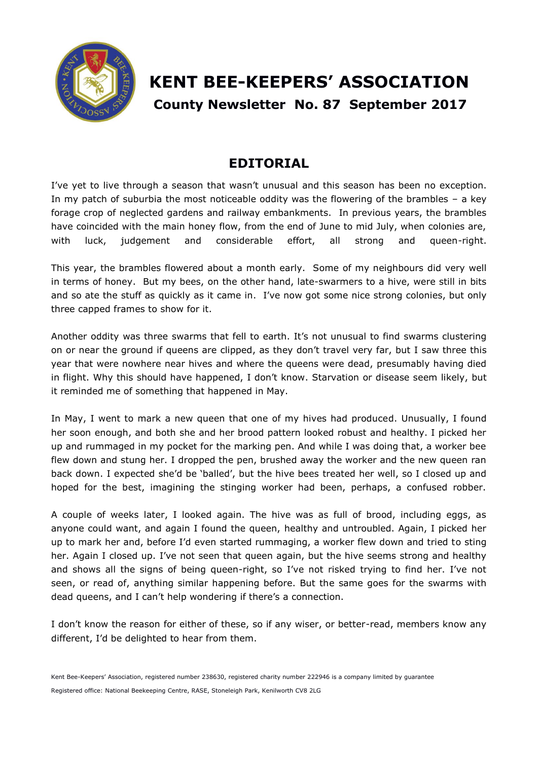

# **KENT BEE-KEEPERS' ASSOCIATION County Newsletter No. 87 September 2017**

# **EDITORIAL**

I've yet to live through a season that wasn't unusual and this season has been no exception. In my patch of suburbia the most noticeable oddity was the flowering of the brambles – a key forage crop of neglected gardens and railway embankments. In previous years, the brambles have coincided with the main honey flow, from the end of June to mid July, when colonies are, with luck, judgement and considerable effort, all strong and queen-right.

This year, the brambles flowered about a month early. Some of my neighbours did very well in terms of honey. But my bees, on the other hand, late-swarmers to a hive, were still in bits and so ate the stuff as quickly as it came in. I've now got some nice strong colonies, but only three capped frames to show for it.

Another oddity was three swarms that fell to earth. It's not unusual to find swarms clustering on or near the ground if queens are clipped, as they don't travel very far, but I saw three this year that were nowhere near hives and where the queens were dead, presumably having died in flight. Why this should have happened, I don't know. Starvation or disease seem likely, but it reminded me of something that happened in May.

In May, I went to mark a new queen that one of my hives had produced. Unusually, I found her soon enough, and both she and her brood pattern looked robust and healthy. I picked her up and rummaged in my pocket for the marking pen. And while I was doing that, a worker bee flew down and stung her. I dropped the pen, brushed away the worker and the new queen ran back down. I expected she'd be 'balled', but the hive bees treated her well, so I closed up and hoped for the best, imagining the stinging worker had been, perhaps, a confused robber.

A couple of weeks later, I looked again. The hive was as full of brood, including eggs, as anyone could want, and again I found the queen, healthy and untroubled. Again, I picked her up to mark her and, before I'd even started rummaging, a worker flew down and tried to sting her. Again I closed up. I've not seen that queen again, but the hive seems strong and healthy and shows all the signs of being queen-right, so I've not risked trying to find her. I've not seen, or read of, anything similar happening before. But the same goes for the swarms with dead queens, and I can't help wondering if there's a connection.

I don't know the reason for either of these, so if any wiser, or better-read, members know any different, I'd be delighted to hear from them.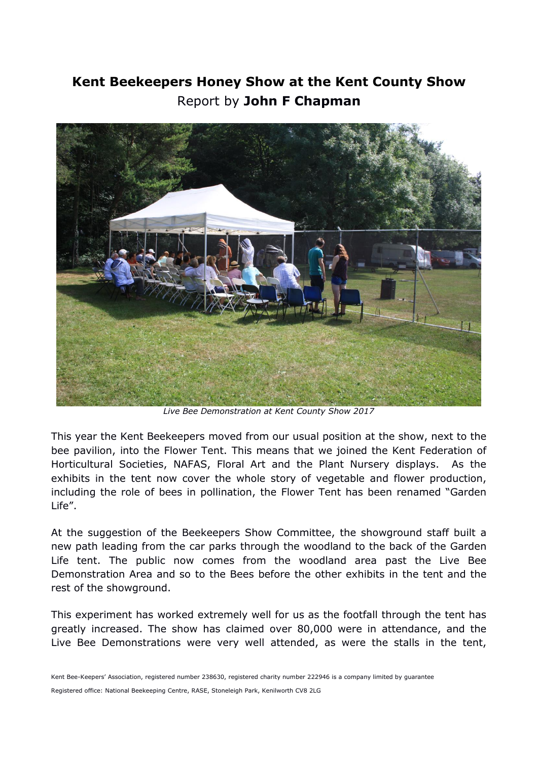# **Kent Beekeepers Honey Show at the Kent County Show** Report by **John F Chapman**



*Live Bee Demonstration at Kent County Show 2017*

This year the Kent Beekeepers moved from our usual position at the show, next to the bee pavilion, into the Flower Tent. This means that we joined the Kent Federation of Horticultural Societies, NAFAS, Floral Art and the Plant Nursery displays. As the exhibits in the tent now cover the whole story of vegetable and flower production, including the role of bees in pollination, the Flower Tent has been renamed "Garden Life".

At the suggestion of the Beekeepers Show Committee, the showground staff built a new path leading from the car parks through the woodland to the back of the Garden Life tent. The public now comes from the woodland area past the Live Bee Demonstration Area and so to the Bees before the other exhibits in the tent and the rest of the showground.

This experiment has worked extremely well for us as the footfall through the tent has greatly increased. The show has claimed over 80,000 were in attendance, and the Live Bee Demonstrations were very well attended, as were the stalls in the tent,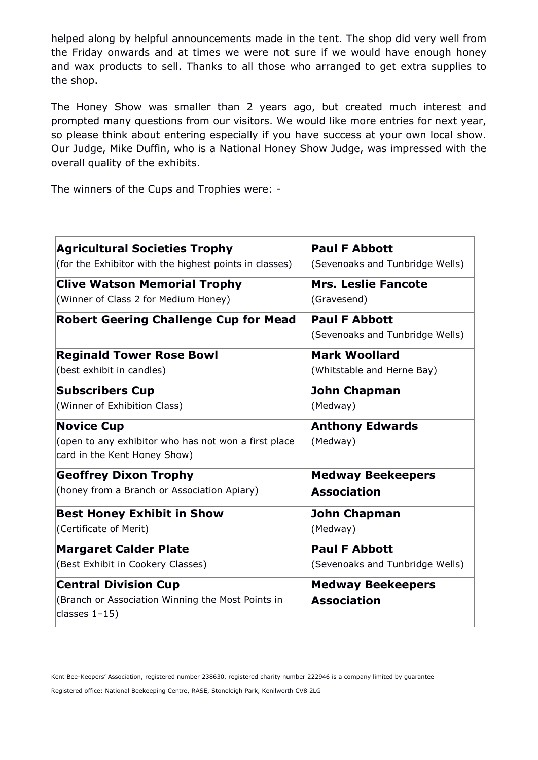helped along by helpful announcements made in the tent. The shop did very well from the Friday onwards and at times we were not sure if we would have enough honey and wax products to sell. Thanks to all those who arranged to get extra supplies to the shop.

The Honey Show was smaller than 2 years ago, but created much interest and prompted many questions from our visitors. We would like more entries for next year, so please think about entering especially if you have success at your own local show. Our Judge, Mike Duffin, who is a National Honey Show Judge, was impressed with the overall quality of the exhibits.

The winners of the Cups and Trophies were: -

| <b>Agricultural Societies Trophy</b>                                                                      | <b>Paul F Abbott</b>                                    |
|-----------------------------------------------------------------------------------------------------------|---------------------------------------------------------|
| (for the Exhibitor with the highest points in classes)                                                    | (Sevenoaks and Tunbridge Wells)                         |
| <b>Clive Watson Memorial Trophy</b>                                                                       | <b>Mrs. Leslie Fancote</b>                              |
| (Winner of Class 2 for Medium Honey)                                                                      | (Gravesend)                                             |
| <b>Robert Geering Challenge Cup for Mead</b>                                                              | <b>Paul F Abbott</b><br>(Sevenoaks and Tunbridge Wells) |
| <b>Reginald Tower Rose Bowl</b>                                                                           | <b>Mark Woollard</b>                                    |
| (best exhibit in candles)                                                                                 | (Whitstable and Herne Bay)                              |
| <b>Subscribers Cup</b>                                                                                    | <b>John Chapman</b>                                     |
| (Winner of Exhibition Class)                                                                              | (Medway)                                                |
| <b>Novice Cup</b><br>(open to any exhibitor who has not won a first place<br>card in the Kent Honey Show) | <b>Anthony Edwards</b><br>(Medway)                      |
| <b>Geoffrey Dixon Trophy</b>                                                                              | <b>Medway Beekeepers</b>                                |
| (honey from a Branch or Association Apiary)                                                               | <b>Association</b>                                      |
| <b>Best Honey Exhibit in Show</b>                                                                         | John Chapman                                            |
| (Certificate of Merit)                                                                                    | (Medway)                                                |
| <b>Margaret Calder Plate</b>                                                                              | <b>Paul F Abbott</b>                                    |
| (Best Exhibit in Cookery Classes)                                                                         | (Sevenoaks and Tunbridge Wells)                         |
| <b>Central Division Cup</b><br>(Branch or Association Winning the Most Points in<br>classes $1-15$ )      | <b>Medway Beekeepers</b><br><b>Association</b>          |

Kent Bee-Keepers' Association, registered number 238630, registered charity number 222946 is a company limited by guarantee Registered office: National Beekeeping Centre, RASE, Stoneleigh Park, Kenilworth CV8 2LG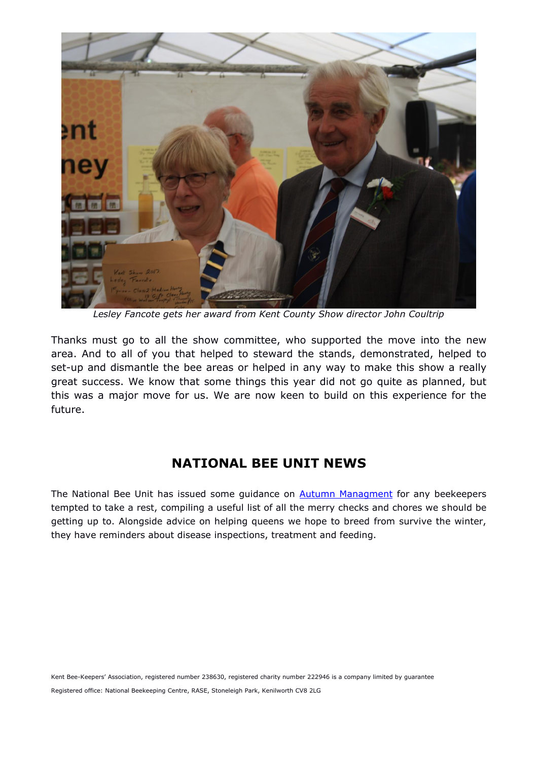

*Lesley Fancote gets her award from Kent County Show director John Coultrip*

Thanks must go to all the show committee, who supported the move into the new area. And to all of you that helped to steward the stands, demonstrated, helped to set-up and dismantle the bee areas or helped in any way to make this show a really great success. We know that some things this year did not go quite as planned, but this was a major move for us. We are now keen to build on this experience for the future.

## **NATIONAL BEE UNIT NEWS**

The National Bee Unit has issued some guidance on **Autumn Managment** for any beekeepers tempted to take a rest, compiling a useful list of all the merry checks and chores we should be getting up to. Alongside advice on helping queens we hope to breed from survive the winter, they have reminders about disease inspections, treatment and feeding.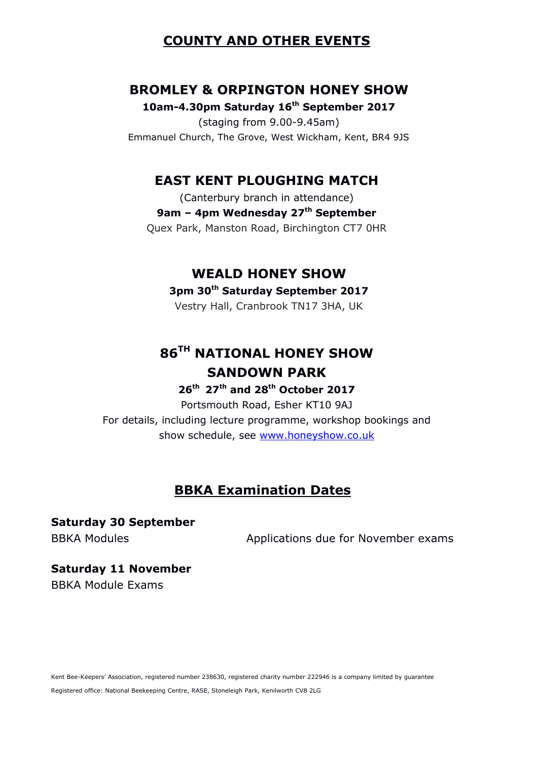### **COUNTY AND OTHER EVENTS**

#### **BROMLEY & ORPINGTON HONEY SHOW**

**10am-4.30pm Saturday 16th September 2017**

(staging from 9.00-9.45am) Emmanuel Church, The Grove, West Wickham, Kent, BR4 9JS

#### **EAST KENT PLOUGHING MATCH**

(Canterbury branch in attendance) **9am – 4pm Wednesday 27th September** Quex Park, Manston Road, Birchington CT7 0HR

#### **WEALD HONEY SHOW**

#### **3pm 30th Saturday September 2017**

Vestry Hall, Cranbrook TN17 3HA, UK

# **86TH NATIONAL HONEY SHOW SANDOWN PARK**

**26th 27th and 28th October 2017**

Portsmouth Road, Esher KT10 9AJ For details, including lecture programme, workshop bookings and show schedule, see [www.honeyshow.co.uk](http://www.honeyshow.co.uk/)

## **BBKA Examination Dates**

# **Saturday 30 September**

BBKA Modules **Applications due for November exams** 

#### **Saturday 11 November** BBKA Module Exams